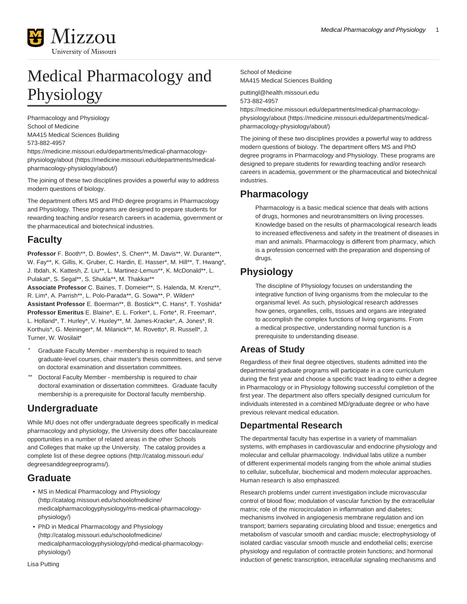

# Medical Pharmacology and Physiology

Pharmacology and Physiology School of Medicine MA415 Medical Sciences Building 573-882-4957

[https://medicine.missouri.edu/departments/medical-pharmacology](https://medicine.missouri.edu/departments/medical-pharmacology-physiology/about/)[physiology/about](https://medicine.missouri.edu/departments/medical-pharmacology-physiology/about/) ([https://medicine.missouri.edu/departments/medical](https://medicine.missouri.edu/departments/medical-pharmacology-physiology/about/)[pharmacology-physiology/about/](https://medicine.missouri.edu/departments/medical-pharmacology-physiology/about/))

The joining of these two disciplines provides a powerful way to address modern questions of biology.

The department offers MS and PhD degree programs in Pharmacology and Physiology. These programs are designed to prepare students for rewarding teaching and/or research careers in academia, government or the pharmaceutical and biotechnical industries.

# **Faculty**

**Professor** F. Booth\*\*, D. Bowles\*, S. Chen\*\*, M. Davis\*\*, W. Durante\*\*, W. Fay\*\*, K. Gillis, K. Gruber, C. Hardin, E. Hasser\*, M. Hill\*\*, T. Hwang\*, J. Ibdah, K. Kattesh, Z. Liu\*\*, L. Martinez-Lemus\*\*, K. McDonald\*\*, L. Pulakat\*, S. Segal\*\*, S. Shukla\*\*, M. Thakkar\*\*

**Associate Professor** C. Baines, T. Domeier\*\*, S. Halenda, M. Krenz\*\*, R. Lim\*, A. Parrish\*\*, L. Polo-Parada\*\*, G. Sowa\*\*, P. Wilden\* **Assistant Professor** E. Boerman\*\*, B. Bostick\*\*, C. Hans\*, T. Yoshida\* **Professor Emeritus** E. Blaine\*, E. L. Forker\*, L. Forte\*, R. Freeman\*, L. Holland\*, T. Hurley\*, V. Huxley\*\*, M. James-Kracke\*, A. Jones\*, R. Korthuis\*, G. Meininger\*, M. Milanick\*\*, M. Rovetto\*, R. Russell\*, J. Turner, W. Wosilait\*

- Graduate Faculty Member membership is required to teach graduate-level courses, chair master's thesis committees, and serve on doctoral examination and dissertation committees.
- Doctoral Faculty Member membership is required to chair doctoral examination or dissertation committees. Graduate faculty membership is a prerequisite for Doctoral faculty membership.

# **Undergraduate**

While MU does not offer undergraduate degrees specifically in medical pharmacology and physiology, the University does offer baccalaureate opportunities in a number of related areas in the other Schools and Colleges that make up the University. The catalog provides a [complete list of these degree options](http://catalog.missouri.edu/degreesanddegreeprograms/) [\(http://catalog.missouri.edu/](http://catalog.missouri.edu/degreesanddegreeprograms/) [degreesanddegreeprograms/](http://catalog.missouri.edu/degreesanddegreeprograms/)).

# **Graduate**

- [MS in Medical Pharmacology and Physiology](http://catalog.missouri.edu/schoolofmedicine/medicalpharmacologyphysiology/ms-medical-pharmacology-physiology/) ([http://catalog.missouri.edu/schoolofmedicine/](http://catalog.missouri.edu/schoolofmedicine/medicalpharmacologyphysiology/ms-medical-pharmacology-physiology/) [medicalpharmacologyphysiology/ms-medical-pharmacology](http://catalog.missouri.edu/schoolofmedicine/medicalpharmacologyphysiology/ms-medical-pharmacology-physiology/)[physiology/](http://catalog.missouri.edu/schoolofmedicine/medicalpharmacologyphysiology/ms-medical-pharmacology-physiology/))
- [PhD in Medical Pharmacology and Physiology](http://catalog.missouri.edu/schoolofmedicine/medicalpharmacologyphysiology/phd-medical-pharmacology-physiology/) ([http://catalog.missouri.edu/schoolofmedicine/](http://catalog.missouri.edu/schoolofmedicine/medicalpharmacologyphysiology/phd-medical-pharmacology-physiology/) [medicalpharmacologyphysiology/phd-medical-pharmacology](http://catalog.missouri.edu/schoolofmedicine/medicalpharmacologyphysiology/phd-medical-pharmacology-physiology/)[physiology/](http://catalog.missouri.edu/schoolofmedicine/medicalpharmacologyphysiology/phd-medical-pharmacology-physiology/))

Lisa Putting

School of Medicine MA415 Medical Sciences Building

puttingl@health.missouri.edu 573-882-4957

[https://medicine.missouri.edu/departments/medical-pharmacology](https://medicine.missouri.edu/departments/medical-pharmacology-physiology/about/)[physiology/about](https://medicine.missouri.edu/departments/medical-pharmacology-physiology/about/) ([https://medicine.missouri.edu/departments/medical](https://medicine.missouri.edu/departments/medical-pharmacology-physiology/about/)[pharmacology-physiology/about/](https://medicine.missouri.edu/departments/medical-pharmacology-physiology/about/))

The joining of these two disciplines provides a powerful way to address modern questions of biology. The department offers MS and PhD degree programs in Pharmacology and Physiology. These programs are designed to prepare students for rewarding teaching and/or research careers in academia, government or the pharmaceutical and biotechnical industries.

# **Pharmacology**

Pharmacology is a basic medical science that deals with actions of drugs, hormones and neurotransmitters on living processes. Knowledge based on the results of pharmacological research leads to increased effectiveness and safety in the treatment of diseases in man and animals. Pharmacology is different from pharmacy, which is a profession concerned with the preparation and dispensing of drugs.

# **Physiology**

The discipline of Physiology focuses on understanding the integrative function of living organisms from the molecular to the organismal level. As such, physiological research addresses how genes, organelles, cells, tissues and organs are integrated to accomplish the complex functions of living organisms. From a medical prospective, understanding normal function is a prerequisite to understanding disease.

# **Areas of Study**

Regardless of their final degree objectives, students admitted into the departmental graduate programs will participate in a core curriculum during the first year and choose a specific tract leading to either a degree in Pharmacology or in Physiology following successful completion of the first year. The department also offers specially designed curriculum for individuals interested in a combined MD/graduate degree or who have previous relevant medical education.

# **Departmental Research**

The departmental faculty has expertise in a variety of mammalian systems, with emphases in cardiovascular and endocrine physiology and molecular and cellular pharmacology. Individual labs utilize a number of different experimental models ranging from the whole animal studies to cellular, subcellular, biochemical and modern molecular approaches. Human research is also emphasized.

Research problems under current investigation include microvascular control of blood flow; modulation of vascular function by the extracellular matrix; role of the microcirculation in inflammation and diabetes; mechanisms involved in angiogenesis membrane regulation and ion transport; barriers separating circulating blood and tissue; energetics and metabolism of vascular smooth and cardiac muscle; electrophysiology of isolated cardiac vascular smooth muscle and endothelial cells; exercise physiology and regulation of contractile protein functions; and hormonal induction of genetic transcription, intracellular signaling mechanisms and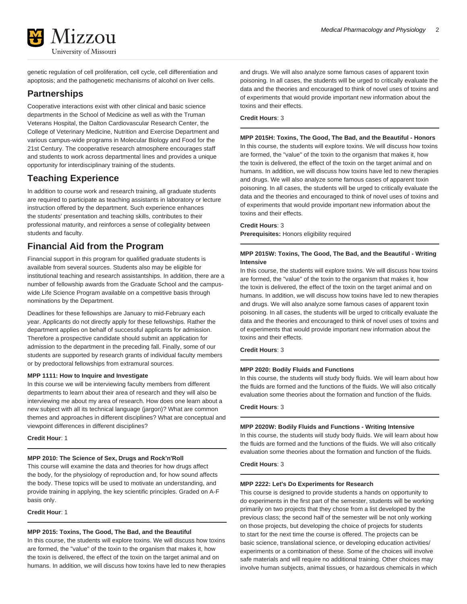

genetic regulation of cell proliferation, cell cycle, cell differentiation and apoptosis; and the pathogenetic mechanisms of alcohol on liver cells.

# **Partnerships**

Cooperative interactions exist with other clinical and basic science departments in the School of Medicine as well as with the Truman Veterans Hospital, the Dalton Cardiovascular Research Center, the College of Veterinary Medicine, Nutrition and Exercise Department and various campus-wide programs in Molecular Biology and Food for the 21st Century. The cooperative research atmosphere encourages staff and students to work across departmental lines and provides a unique opportunity for interdisciplinary training of the students.

# **Teaching Experience**

In addition to course work and research training, all graduate students are required to participate as teaching assistants in laboratory or lecture instruction offered by the department. Such experience enhances the students' presentation and teaching skills, contributes to their professional maturity, and reinforces a sense of collegiality between students and faculty.

# **Financial Aid from the Program**

Financial support in this program for qualified graduate students is available from several sources. Students also may be eligible for institutional teaching and research assistantships. In addition, there are a number of fellowship awards from the Graduate School and the campuswide Life Science Program available on a competitive basis through nominations by the Department.

Deadlines for these fellowships are January to mid-February each year. Applicants do not directly apply for these fellowships. Rather the department applies on behalf of successful applicants for admission. Therefore a prospective candidate should submit an application for admission to the department in the preceding fall. Finally, some of our students are supported by research grants of individual faculty members or by predoctoral fellowships from extramural sources.

# **MPP 1111: How to Inquire and Investigate**

In this course we will be interviewing faculty members from different departments to learn about their area of research and they will also be interviewing me about my area of research. How does one learn about a new subject with all its technical language (jargon)? What are common themes and approaches in different disciplines? What are conceptual and viewpoint differences in different disciplines?

# **Credit Hour**: 1

# **MPP 2010: The Science of Sex, Drugs and Rock'n'Roll**

This course will examine the data and theories for how drugs affect the body, for the physiology of reproduction and, for how sound affects the body. These topics will be used to motivate an understanding, and provide training in applying, the key scientific principles. Graded on A-F basis only.

**Credit Hour**: 1

# **MPP 2015: Toxins, The Good, The Bad, and the Beautiful**

In this course, the students will explore toxins. We will discuss how toxins are formed, the "value" of the toxin to the organism that makes it, how the toxin is delivered, the effect of the toxin on the target animal and on humans. In addition, we will discuss how toxins have led to new therapies and drugs. We will also analyze some famous cases of apparent toxin poisoning. In all cases, the students will be urged to critically evaluate the data and the theories and encouraged to think of novel uses of toxins and of experiments that would provide important new information about the toxins and their effects.

# **Credit Hours**: 3

**MPP 2015H: Toxins, The Good, The Bad, and the Beautiful - Honors** In this course, the students will explore toxins. We will discuss how toxins are formed, the "value" of the toxin to the organism that makes it, how the toxin is delivered, the effect of the toxin on the target animal and on humans. In addition, we will discuss how toxins have led to new therapies and drugs. We will also analyze some famous cases of apparent toxin poisoning. In all cases, the students will be urged to critically evaluate the data and the theories and encouraged to think of novel uses of toxins and of experiments that would provide important new information about the toxins and their effects.

# **Credit Hours**: 3

**Prerequisites:** Honors eligibility required

# **MPP 2015W: Toxins, The Good, The Bad, and the Beautiful - Writing Intensive**

In this course, the students will explore toxins. We will discuss how toxins are formed, the "value" of the toxin to the organism that makes it, how the toxin is delivered, the effect of the toxin on the target animal and on humans. In addition, we will discuss how toxins have led to new therapies and drugs. We will also analyze some famous cases of apparent toxin poisoning. In all cases, the students will be urged to critically evaluate the data and the theories and encouraged to think of novel uses of toxins and of experiments that would provide important new information about the toxins and their effects.

**Credit Hours**: 3

# **MPP 2020: Bodily Fluids and Functions**

In this course, the students will study body fluids. We will learn about how the fluids are formed and the functions of the fluids. We will also critically evaluation some theories about the formation and function of the fluids.

# **Credit Hours**: 3

# **MPP 2020W: Bodily Fluids and Functions - Writing Intensive**

In this course, the students will study body fluids. We will learn about how the fluids are formed and the functions of the fluids. We will also critically evaluation some theories about the formation and function of the fluids.

**Credit Hours**: 3

# **MPP 2222: Let's Do Experiments for Research**

This course is designed to provide students a hands on opportunity to do experiments in the first part of the semester, students will be working primarily on two projects that they chose from a list developed by the previous class; the second half of the semester will be not only working on those projects, but developing the choice of projects for students to start for the next time the course is offered. The projects can be basic science, translational science, or developing education activities/ experiments or a combination of these. Some of the choices will involve safe materials and will require no additional training. Other choices may involve human subjects, animal tissues, or hazardous chemicals in which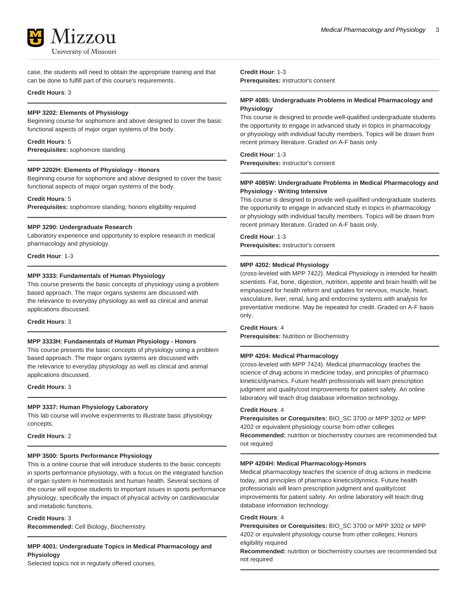

case, the students will need to obtain the appropriate training and that can be done to fulfill part of this course's requirements.

# **Credit Hours**: 3

# **MPP 3202: Elements of Physiology**

Beginning course for sophomore and above designed to cover the basic functional aspects of major organ systems of the body.

# **Credit Hours**: 5

**Prerequisites:** sophomore standing

# **MPP 3202H: Elements of Physiology - Honors**

Beginning course for sophomore and above designed to cover the basic functional aspects of major organ systems of the body.

#### **Credit Hours**: 5

**Prerequisites:** sophomore standing; honors eligibility required

#### **MPP 3290: Undergraduate Research**

Laboratory experience and opportunity to explore research in medical pharmacology and physiology.

**Credit Hour**: 1-3

# **MPP 3333: Fundamentals of Human Physiology**

This course presents the basic concepts of physiology using a problem based approach. The major organs systems are discussed with the relevance to everyday physiology as well as clinical and animal applications discussed.

**Credit Hours**: 3

#### **MPP 3333H: Fundamentals of Human Physiology - Honors**

This course presents the basic concepts of physiology using a problem based approach. The major organs systems are discussed with the relevance to everyday physiology as well as clinical and animal applications discussed.

# **Credit Hours**: 3

# **MPP 3337: Human Physiology Laboratory**

This lab course will involve experiments to illustrate basic physiology concepts.

# **Credit Hours**: 2

## **MPP 3500: Sports Performance Physiology**

This is a online course that will introduce students to the basic concepts in sports performance physiology, with a focus on the integrated function of organ system in homeostasis and human health. Several sections of the course will expose students to important issues in sports performance physiology, specifically the impact of physical activity on cardiovascular and metabolic functions.

**Credit Hours**: 3 **Recommended:** Cell Biology, Biochemistry

**MPP 4001: Undergraduate Topics in Medical Pharmacology and Physiology**

Selected topics not in regularly offered courses.

**Credit Hour**: 1-3 **Prerequisites:** instructor's consent

# **MPP 4085: Undergraduate Problems in Medical Pharmacology and Physiology**

This course is designed to provide well-qualified undergraduate students the opportunity to engage in advanced study in topics in pharmacology or physiology with individual faculty members. Topics will be drawn from recent primary literature. Graded on A-F basis only.

### **Credit Hour**: 1-3

**Prerequisites:** instructor's consent

# **MPP 4085W: Undergraduate Problems in Medical Pharmacology and Physiology - Writing Intensive**

This course is designed to provide well-qualified undergraduate students the opportunity to engage in advanced study in topics in pharmacology or physiology with individual faculty members. Topics will be drawn from recent primary literature. Graded on A-F basis only.

**Credit Hour**: 1-3 **Prerequisites:** instructor's consent

# **MPP 4202: Medical Physiology**

(cross-leveled with MPP 7422). Medical Physiology is intended for health scientists. Fat, bone, digestion, nutrition, appetite and brain health will be emphasized for health reform and updates for nervous, muscle, heart, vasculature, liver, renal, lung and endocrine systems with analysis for preventative medicine. May be repeated for credit. Graded on A-F basis only.

# **Credit Hours**: 4

**Prerequisites:** Nutrition or Biochemistry

#### **MPP 4204: Medical Pharmacology**

(cross-leveled with MPP 7424). Medical pharmacology teaches the science of drug actions in medicine today, and principles of pharmaco kinetics/dynamics. Future health professionals will learn prescription judgment and quality/cost improvements for patient safety. An online laboratory will teach drug database information technology.

#### **Credit Hours**: 4

**Prerequisites or Corequisites:** BIO\_SC 3700 or MPP 3202 or MPP 4202 or equivalent physiology course from other colleges **Recommended:** nutrition or biochemistry courses are recommended but not required

### **MPP 4204H: Medical Pharmacology-Honors**

Medical pharmacology teaches the science of drug actions in medicine today, and principles of pharmaco kinetics/dynmics. Future health professionals will learn prescription judgment and quality/cost improvements for patient safety. An online laboratory will teach drug database information technology.

# **Credit Hours**: 4

**Prerequisites or Corequisites:** BIO\_SC 3700 or MPP 3202 or MPP 4202 or equivalent physiology course from other colleges; Honors eligibility required

**Recommended:** nutrition or biochemistry courses are recommended but not required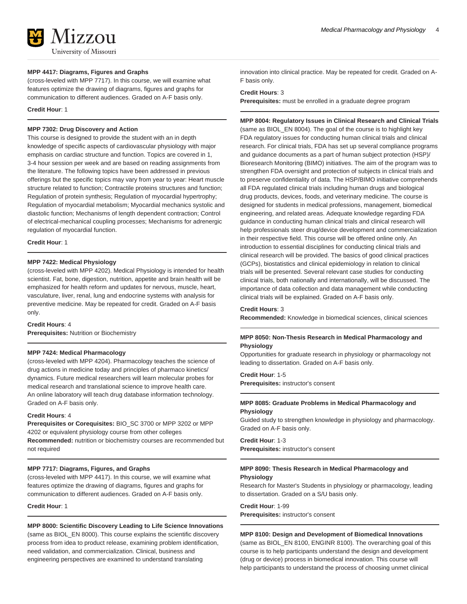

# **MPP 4417: Diagrams, Figures and Graphs**

(cross-leveled with MPP 7717). In this course, we will examine what features optimize the drawing of diagrams, figures and graphs for communication to different audiences. Graded on A-F basis only.

**Credit Hour**: 1

# **MPP 7302: Drug Discovery and Action**

This course is designed to provide the student with an in depth knowledge of specific aspects of cardiovascular physiology with major emphasis on cardiac structure and function. Topics are covered in 1, 3-4 hour session per week and are based on reading assignments from the literature. The following topics have been addressed in previous offerings but the specific topics may vary from year to year: Heart muscle structure related to function; Contractile proteins structures and function; Regulation of protein synthesis; Regulation of myocardial hypertrophy; Regulation of myocardial metabolism; Myocardial mechanics systolic and diastolic function; Mechanisms of length dependent contraction; Control of electrical-mechanical coupling processes; Mechanisms for adrenergic regulation of myocardial function.

**Credit Hour**: 1

# **MPP 7422: Medical Physiology**

(cross-leveled with MPP 4202). Medical Physiology is intended for health scientist. Fat, bone, digestion, nutrition, appetite and brain health will be emphasized for health reform and updates for nervous, muscle, heart, vasculature, liver, renal, lung and endocrine systems with analysis for preventive medicine. May be repeated for credit. Graded on A-F basis only.

#### **Credit Hours**: 4

**Prerequisites:** Nutrition or Biochemistry

#### **MPP 7424: Medical Pharmacology**

(cross-leveled with MPP 4204). Pharmacology teaches the science of drug actions in medicine today and principles of pharmaco kinetics/ dynamics. Future medical researchers will learn molecular probes for medical research and translational science to improve health care. An online laboratory will teach drug database information technology. Graded on A-F basis only.

# **Credit Hours**: 4

**Prerequisites or Corequisites:** BIO\_SC 3700 or MPP 3202 or MPP 4202 or equivalent physiology course from other colleges **Recommended:** nutrition or biochemistry courses are recommended but not required

# **MPP 7717: Diagrams, Figures, and Graphs**

(cross-leveled with MPP 4417). In this course, we will examine what features optimize the drawing of diagrams, figures and graphs for communication to different audiences. Graded on A-F basis only.

# **Credit Hour**: 1

#### **MPP 8000: Scientific Discovery Leading to Life Science Innovations**

(same as BIOL\_EN 8000). This course explains the scientific discovery process from idea to product release, examining problem identification, need validation, and commercialization. Clinical, business and engineering perspectives are examined to understand translating

innovation into clinical practice. May be repeated for credit. Graded on A-F basis only.

# **Credit Hours**: 3

**Prerequisites:** must be enrolled in a graduate degree program

# **MPP 8004: Regulatory Issues in Clinical Research and Clinical Trials**

(same as BIOL\_EN 8004). The goal of the course is to highlight key FDA regulatory issues for conducting human clinical trials and clinical research. For clinical trials, FDA has set up several compliance programs and guidance documents as a part of human subject protection (HSP)/ Bioresearch Monitoring (BIMO) initiatives. The aim of the program was to strengthen FDA oversight and protection of subjects in clinical trials and to preserve confidentiality of data. The HSP/BIMO initiative comprehends all FDA regulated clinical trials including human drugs and biological drug products, devices, foods, and veterinary medicine. The course is designed for students in medical professions, management, biomedical engineering, and related areas. Adequate knowledge regarding FDA guidance in conducting human clinical trials and clinical research will help professionals steer drug/device development and commercialization in their respective field. This course will be offered online only. An introduction to essential disciplines for conducting clinical trials and clinical research will be provided. The basics of good clinical practices (GCPs), biostatistics and clinical epidemiology in relation to clinical trials will be presented. Several relevant case studies for conducting clinical trials, both nationally and internationally, will be discussed. The importance of data collection and data management while conducting clinical trials will be explained. Graded on A-F basis only.

#### **Credit Hours**: 3

**Recommended:** Knowledge in biomedical sciences, clinical sciences

# **MPP 8050: Non-Thesis Research in Medical Pharmacology and Physiology**

Opportunities for graduate research in physiology or pharmacology not leading to dissertation. Graded on A-F basis only.

**Credit Hour**: 1-5 **Prerequisites:** instructor's consent

# **MPP 8085: Graduate Problems in Medical Pharmacology and Physiology**

Guided study to strengthen knowledge in physiology and pharmacology. Graded on A-F basis only.

# **Credit Hour**: 1-3

**Prerequisites:** instructor's consent

# **MPP 8090: Thesis Research in Medical Pharmacology and Physiology**

Research for Master's Students in physiology or pharmacology, leading to dissertation. Graded on a S/U basis only.

**Credit Hour**: 1-99 **Prerequisites:** instructor's consent

#### **MPP 8100: Design and Development of Biomedical Innovations**

(same as BIOL\_EN 8100, ENGINR 8100). The overarching goal of this course is to help participants understand the design and development (drug or device) process in biomedical innovation. This course will help participants to understand the process of choosing unmet clinical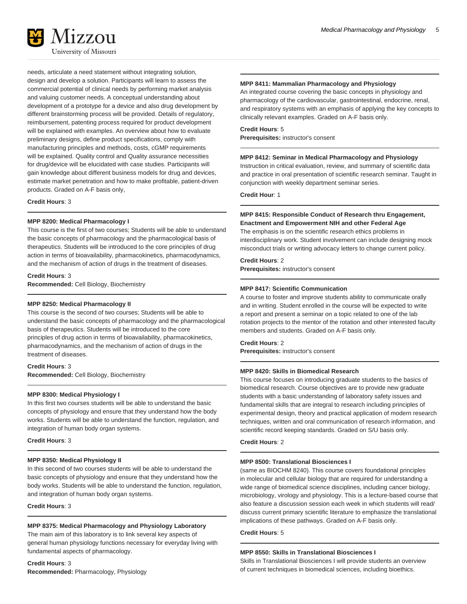

needs, articulate a need statement without integrating solution, design and develop a solution. Participants will learn to assess the commercial potential of clinical needs by performing market analysis and valuing customer needs. A conceptual understanding about development of a prototype for a device and also drug development by different brainstorming process will be provided. Details of regulatory, reimbursement, patenting process required for product development will be explained with examples. An overview about how to evaluate preliminary designs, define product specifications, comply with manufacturing principles and methods, costs, cGMP requirements will be explained. Quality control and Quality assurance necessities for drug/device will be elucidated with case studies. Participants will gain knowledge about different business models for drug and devices, estimate market penetration and how to make profitable, patient-driven products. Graded on A-F basis only,

**Credit Hours**: 3

# **MPP 8200: Medical Pharmacology I**

This course is the first of two courses; Students will be able to understand the basic concepts of pharmacology and the pharmacological basis of therapeutics. Students will be introduced to the core principles of drug action in terms of bioavailability, pharmacokinetics, pharmacodynamics, and the mechanism of action of drugs in the treatment of diseases.

**Credit Hours**: 3

**Recommended:** Cell Biology, Biochemistry

# **MPP 8250: Medical Pharmacology II**

This course is the second of two courses; Students will be able to understand the basic concepts of pharmacology and the pharmacological basis of therapeutics. Students will be introduced to the core principles of drug action in terms of bioavailability, pharmacokinetics, pharmacodynamics, and the mechanism of action of drugs in the treatment of diseases.

# **Credit Hours**: 3 **Recommended:** Cell Biology, Biochemistry

# **MPP 8300: Medical Physiology I**

In this first two courses students will be able to understand the basic concepts of physiology and ensure that they understand how the body works. Students will be able to understand the function, regulation, and integration of human body organ systems.

# **Credit Hours**: 3

# **MPP 8350: Medical Physiology II**

In this second of two courses students will be able to understand the basic concepts of physiology and ensure that they understand how the body works. Students will be able to understand the function, regulation, and integration of human body organ systems.

**Credit Hours**: 3

# **MPP 8375: Medical Pharmacology and Physiology Laboratory**

The main aim of this laboratory is to link several key aspects of general human physiology functions necessary for everyday living with fundamental aspects of pharmacology.

**Credit Hours**: 3 **Recommended:** Pharmacology, Physiology

# **MPP 8411: Mammalian Pharmacology and Physiology**

An integrated course covering the basic concepts in physiology and pharmacology of the cardiovascular, gastrointestinal, endocrine, renal, and respiratory systems with an emphasis of applying the key concepts to clinically relevant examples. Graded on A-F basis only.

# **Credit Hours**: 5

**Prerequisites:** instructor's consent

# **MPP 8412: Seminar in Medical Pharmacology and Physiology**

Instruction in critical evaluation, review, and summary of scientific data and practice in oral presentation of scientific research seminar. Taught in conjunction with weekly department seminar series.

**Credit Hour**: 1

# **MPP 8415: Responsible Conduct of Research thru Engagement, Enactment and Empowerment NIH and other Federal Age**

The emphasis is on the scientific research ethics problems in interdisciplinary work. Student involvement can include designing mock misconduct trials or writing advocacy letters to change current policy.

# **Credit Hours**: 2

**Prerequisites:** instructor's consent

# **MPP 8417: Scientific Communication**

A course to foster and improve students ability to communicate orally and in writing. Student enrolled in the course will be expected to write a report and present a seminar on a topic related to one of the lab rotation projects to the mentor of the rotation and other interested faculty members and students. Graded on A-F basis only.

**Credit Hours**: 2 **Prerequisites:** instructor's consent

# **MPP 8420: Skills in Biomedical Research**

This course focuses on introducing graduate students to the basics of biomedical research. Course objectives are to provide new graduate students with a basic understanding of laboratory safety issues and fundamental skills that are integral to research including principles of experimental design, theory and practical application of modern research techniques, written and oral communication of research information, and scientific record keeping standards. Graded on S/U basis only.

#### **Credit Hours**: 2

# **MPP 8500: Translational Biosciences I**

(same as BIOCHM 8240). This course covers foundational principles in molecular and cellular biology that are required for understanding a wide range of biomedical science disciplines, including cancer biology, microbiology, virology and physiology. This is a lecture-based course that also feature a discussion session each week in which students will read/ discuss current primary scientific literature to emphasize the translational implications of these pathways. Graded on A-F basis only.

# **Credit Hours**: 5

# **MPP 8550: Skills in Translational Biosciences I**

Skills in Translational Biosciences I will provide students an overview of current techniques in biomedical sciences, including bioethics.